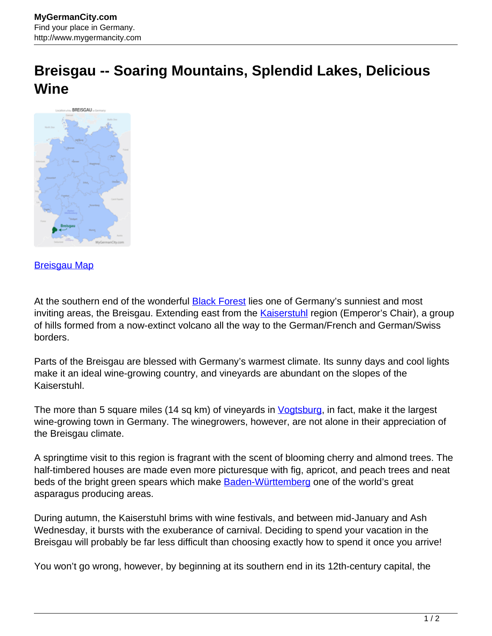## **Breisgau -- Soaring Mountains, Splendid Lakes, Delicious Wine**



[Breisgau Map](http://www.mygermancity.com/breisgau-map)

At the southern end of the wonderful **Black Forest** lies one of Germany's sunniest and most inviting areas, the Breisgau. Extending east from the **[Kaiserstuhl](http://www.mygermancity.com/kaiserstuhl)** region (Emperor's Chair), a group of hills formed from a now-extinct volcano all the way to the German/French and German/Swiss borders.

Parts of the Breisgau are blessed with Germany's warmest climate. Its sunny days and cool lights make it an ideal wine-growing country, and vineyards are abundant on the slopes of the Kaiserstuhl.

The more than 5 square miles (14 sq km) of vineyards in *Vogtsburg*, in fact, make it the largest wine-growing town in Germany. The winegrowers, however, are not alone in their appreciation of the Breisgau climate.

A springtime visit to this region is fragrant with the scent of blooming cherry and almond trees. The half-timbered houses are made even more picturesque with fig, apricot, and peach trees and neat beds of the bright green spears which make **Baden-Württemberg** one of the world's great asparagus producing areas.

During autumn, the Kaiserstuhl brims with wine festivals, and between mid-January and Ash Wednesday, it bursts with the exuberance of carnival. Deciding to spend your vacation in the Breisgau will probably be far less difficult than choosing exactly how to spend it once you arrive!

You won't go wrong, however, by beginning at its southern end in its 12th-century capital, the